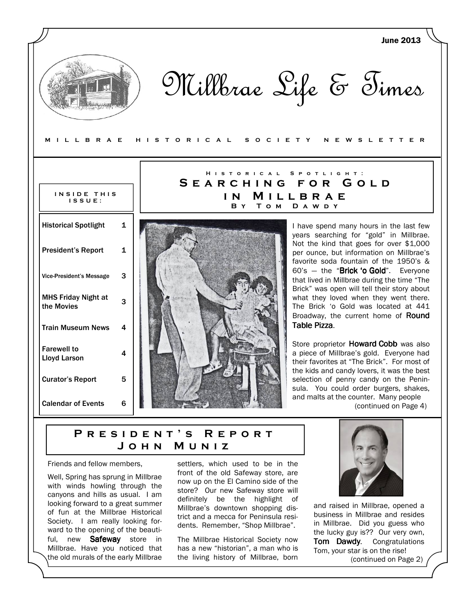|                                           |   |                                         | <b>June 2013</b>                                                                                                                   |
|-------------------------------------------|---|-----------------------------------------|------------------------------------------------------------------------------------------------------------------------------------|
| MILLBRAE                                  |   | H I S T O R I C A L<br>O C I E T Y<br>s | Millbrae Life & Times<br>N E W S L E T T E R                                                                                       |
|                                           |   | HISTORICAL<br>SEARCHING                 | SPOTLIGHT:<br>FOR GOLD                                                                                                             |
| INSIDE THIS<br>$IS$ $S$ $U$ $E$ :         |   | IN.<br>B Y                              | MILLBRAE<br>TOM DAWDY                                                                                                              |
| <b>Historical Spotlight</b>               | 1 |                                         | I have spend many hours in the last few<br>years searching for "gold" in Millbrae.                                                 |
| <b>President's Report</b>                 | 1 |                                         | Not the kind that goes for over \$1,000<br>per ounce, but information on Millbrae's<br>favorite soda fountain of the 1950's &      |
| <b>Vice-President's Message</b>           | 3 |                                         | 60's - the "Brick 'o Gold". Everyone<br>that lived in Millbrae during the time "The<br>Brick" was open will tell their story about |
| <b>MHS Friday Night at</b><br>the Movies  | 3 |                                         | what they loved when they went there.<br>The Brick 'o Gold was located at 441<br>Broadway, the current home of Round               |
| <b>Train Museum News</b>                  | 4 |                                         | Table Pizza.                                                                                                                       |
| <b>Farewell to</b><br><b>Lloyd Larson</b> | 4 |                                         | Store proprietor Howard Cobb was also<br>a piece of Millbrae's gold. Everyone had<br>their favorites at "The Brick". For most of   |
| <b>Curator's Report</b>                   | 5 |                                         | the kids and candy lovers, it was the best<br>selection of penny candy on the Penin-<br>sula. You could order burgers, shakes,     |
| <b>Calendar of Events</b>                 | 6 |                                         | and malts at the counter. Many people<br>(continued on Page 4)                                                                     |

# PRESIDENT'S REPORT J o h n M u n i z

Friends and fellow members,

Well, Spring has sprung in Millbrae with winds howling through the canyons and hills as usual. I am looking forward to a great summer of fun at the Millbrae Historical Society. I am really looking forward to the opening of the beautiful, new Safeway store in Millbrae. Have you noticed that the old murals of the early Millbrae

settlers, which used to be in the front of the old Safeway store, are now up on the El Camino side of the store? Our new Safeway store will definitely be the highlight of Millbrae's downtown shopping district and a mecca for Peninsula residents. Remember, "Shop Millbrae".

The Millbrae Historical Society now has a new "historian", a man who is the living history of Millbrae, born



and raised in Millbrae, opened a business in Millbrae and resides in Millbrae. Did you guess who the lucky guy is?? Our very own, Tom Dawdy. Congratulations Tom, your star is on the rise! (continued on Page 2)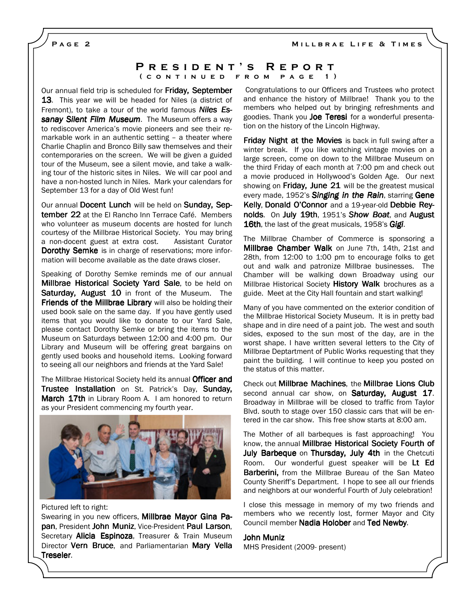MILLBRAE LIFE & TIMES

PAGE<sub>2</sub>

#### P R E S I D E N T 'S R E P O R T ( CONTINUED FROM PAGE 1)

Our annual field trip is scheduled for Friday, September **13**. This year we will be headed for Niles (a district of Fremont), to take a tour of the world famous **Niles Es**sanay Silent Film Museum. The Museum offers a way to rediscover America's movie pioneers and see their remarkable work in an authentic setting – a theater where Charlie Chaplin and Bronco Billy saw themselves and their contemporaries on the screen. We will be given a guided tour of the Museum, see a silent movie, and take a walking tour of the historic sites in Niles. We will car pool and have a non-hosted lunch in Niles. Mark your calendars for September 13 for a day of Old West fun!

Our annual Docent Lunch will be held on Sunday, September 22 at the El Rancho Inn Terrace Café. Members who volunteer as museum docents are hosted for lunch courtesy of the Millbrae Historical Society. You may bring a non-docent guest at extra cost. Assistant Curator **Dorothy Semke** is in charge of reservations; more information will become available as the date draws closer.

Speaking of Dorothy Semke reminds me of our annual Millbrae Historical Society Yard Sale, to be held on **Saturday, August 10** in front of the Museum. The Friends of the Millbrae Library will also be holding their used book sale on the same day. If you have gently used items that you would like to donate to our Yard Sale, please contact Dorothy Semke or bring the items to the Museum on Saturdays between 12:00 and 4:00 pm. Our Library and Museum will be offering great bargains on gently used books and household items. Looking forward to seeing all our neighbors and friends at the Yard Sale!

The Millbrae Historical Society held its annual Officer and Trustee Installation on St. Patrick's Day, Sunday, March 17th in Library Room A. I am honored to return as your President commencing my fourth year.



Pictured left to right:

Swearing in you new officers, Millbrae Mayor Gina Papan, President John Muniz, Vice-President Paul Larson, Secretary **Alicia Espinoza**, Treasurer & Train Museum Director Vern Bruce, and Parliamentarian Mary Vella Treseler.

 Congratulations to our Officers and Trustees who protect and enhance the history of Millbrae! Thank you to the members who helped out by bringing refreshments and goodies. Thank you Joe Teresi for a wonderful presentation on the history of the Lincoln Highway.

Friday Night at the Movies is back in full swing after a winter break. If you like watching vintage movies on a large screen, come on down to the Millbrae Museum on the third Friday of each month at 7:00 pm and check out a movie produced in Hollywood's Golden Age. Our next showing on Friday, June 21 will be the greatest musical every made, 1952's Singing in the Rain, starring Gene Kelly, Donald O'Connor and a 19-year-old Debbie Reynolds. On July 19th, 1951's Show Boat, and August 16th, the last of the great musicals, 1958's Gigi.

The Millbrae Chamber of Commerce is sponsoring a Millbrae Chamber Walk on June 7th, 14th, 21st and 28th, from 12:00 to 1:00 pm to encourage folks to get out and walk and patronize Millbrae businesses. The Chamber will be walking down Broadway using our Millbrae Historical Society History Walk brochures as a guide. Meet at the City Hall fountain and start walking!

Many of you have commented on the exterior condition of the Millbrae Historical Society Museum. It is in pretty bad shape and in dire need of a paint job. The west and south sides, exposed to the sun most of the day, are in the worst shape. I have written several letters to the City of Millbrae Deptartment of Public Works requesting that they paint the building. I will continue to keep you posted on the status of this matter.

Check out Millbrae Machines, the Millbrae Lions Club second annual car show, on Saturday, August 17. Broadway in Millbrae will be closed to traffic from Taylor Blvd. south to stage over 150 classic cars that will be entered in the car show. This free show starts at 8:00 am.

The Mother of all barbeques is fast approaching! You know, the annual Millbrae Historical Society Fourth of July Barbeque on Thursday, July 4th in the Chetcuti Room. Our wonderful guest speaker will be Lt Ed **Barberini,** from the Millbrae Bureau of the San Mateo County Sheriff's Department. I hope to see all our friends and neighbors at our wonderful Fourth of July celebration!

I close this message in memory of my two friends and members who we recently lost, former Mayor and City Council member Nadia Holober and Ted Newby.

John Muniz

MHS President (2009- present)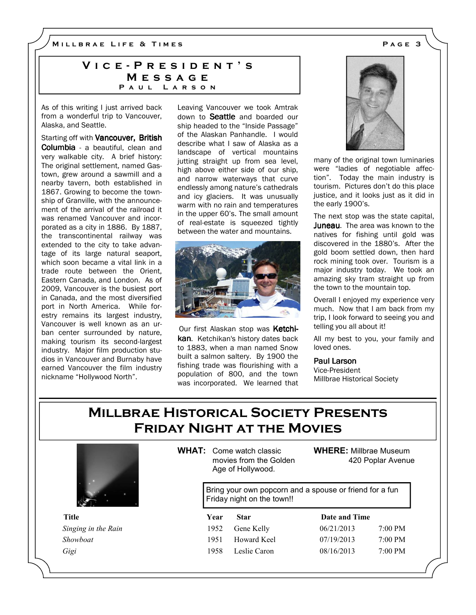M I L L B R A E L I F E & T I M E S A G E 3

### VICE - PRESIDENT'S **MESSAGE** PAUL LARSON

As of this writing I just arrived back from a wonderful trip to Vancouver, Alaska, and Seattle.

Starting off with Vancouver, British Columbia - a beautiful, clean and very walkable city. A brief history: The original settlement, named Gastown, grew around a sawmill and a nearby tavern, both established in 1867. Growing to become the township of Granville, with the announcement of the arrival of the railroad it was renamed Vancouver and incorporated as a city in 1886. By 1887, the transcontinental railway was extended to the city to take advantage of its large natural seaport, which soon became a vital link in a trade route between the Orient, Eastern Canada, and London. As of 2009, Vancouver is the busiest port in Canada, and the most diversified port in North America. While forestry remains its largest industry, Vancouver is well known as an urban center surrounded by nature, making tourism its second-largest industry. Major film production studios in Vancouver and Burnaby have earned Vancouver the film industry nickname "Hollywood North".

Leaving Vancouver we took Amtrak down to **Seattle** and boarded our ship headed to the "Inside Passage" of the Alaskan Panhandle. I would describe what I saw of Alaska as a landscape of vertical mountains jutting straight up from sea level, high above either side of our ship, and narrow waterways that curve endlessly among nature's cathedrals and icy glaciers. It was unusually warm with no rain and temperatures in the upper 60's. The small amount of real-estate is squeezed tightly between the water and mountains.



Our first Alaskan stop was Ketchikan. Ketchikan's history dates back to 1883, when a man named Snow built a salmon saltery. By 1900 the fishing trade was flourishing with a population of 800, and the town was incorporated. We learned that



many of the original town luminaries were "ladies of negotiable affection". Today the main industry is tourism. Pictures don't do this place justice, and it looks just as it did in the early 1900's.

The next stop was the state capital, Juneau. The area was known to the natives for fishing until gold was discovered in the 1880's. After the gold boom settled down, then hard rock mining took over. Tourism is a major industry today. We took an amazing sky tram straight up from the town to the mountain top.

Overall I enjoyed my experience very much. Now that I am back from my trip, I look forward to seeing you and telling you all about it!

All my best to you, your family and loved ones.

#### Paul Larson

Vice-President Millbrae Historical Society

# Millbrae Historical Society Presents Friday Night at the Movies



WHAT: Come watch classic movies from the Golden Age of Hollywood.

WHERE: Millbrae Museum 420 Poplar Avenue

Bring your own popcorn and a spouse or friend for a fun Friday night on the town!!

| Title               | Year | <b>Star</b>  | Date and Time |                   |
|---------------------|------|--------------|---------------|-------------------|
| Singing in the Rain | 1952 | Gene Kelly   | 06/21/2013    | $7:00 \text{ PM}$ |
| Showboat            | 1951 | Howard Keel  | 07/19/2013    | $7:00 \text{ PM}$ |
| Gigi                | 1958 | Leslie Caron | 08/16/2013    | $7:00 \text{ PM}$ |

| ate and Time |       |
|--------------|-------|
| 5/21/2013    | 7.00P |
| 7/19/2013    | 7:00P |
| 3/16/2013    | 7.00P |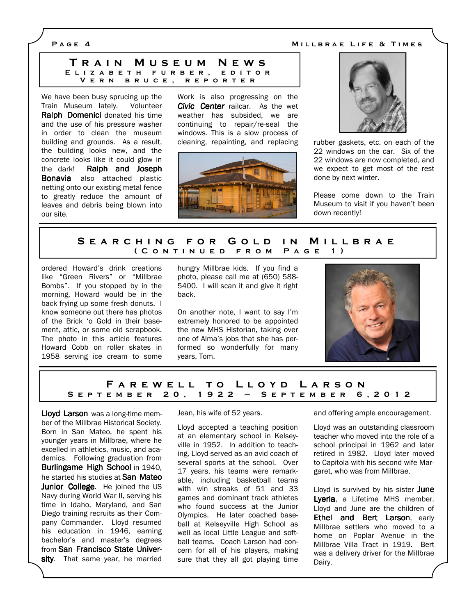P A G E 4 M I L A H A E LIFE & TIMES

|  | TRAIN MUSEUM NEWS    |                          |
|--|----------------------|--------------------------|
|  |                      | ELIZABETH FURBER, EDITOR |
|  | VERN BRUCE, REPORTER |                          |

We have been busy sprucing up the Train Museum lately. Volunteer Ralph Domenici donated his time and the use of his pressure washer in order to clean the museum building and grounds. As a result, the building looks new, and the concrete looks like it could glow in the dark! Ralph and Joseph **Bonavia** also attached plastic netting onto our existing metal fence to greatly reduce the amount of leaves and debris being blown into our site.

Work is also progressing on the Civic Center railcar. As the wet weather has subsided, we are continuing to repair/re-seal the windows. This is a slow process of cleaning, repainting, and replacing rubber gaskets, etc. on each of the





22 windows on the car. Six of the 22 windows are now completed, and we expect to get most of the rest done by next winter.

Please come down to the Train Museum to visit if you haven't been down recently!

#### SEARCHING FOR GOLD IN MILLBRAE ( CONTINUED FROM PAGE 1)

ordered Howard's drink creations like "Green Rivers" or "Millbrae Bombs". If you stopped by in the morning, Howard would be in the back frying up some fresh donuts. I know someone out there has photos of the Brick 'o Gold in their basement, attic, or some old scrapbook. The photo in this article features Howard Cobb on roller skates in 1958 serving ice cream to some hungry Millbrae kids. If you find a photo, please call me at (650) 588- 5400. I will scan it and give it right back.

On another note, I want to say I'm extremely honored to be appointed the new MHS Historian, taking over one of Alma's jobs that she has performed so wonderfully for many years, Tom.



#### FAREWELL TO LLOYD LARSON S E P T E M B E R 20, 1922 - S E P T E M B E R 6, 2012

Lloyd Larson was a long-time member of the Millbrae Historical Society. Born in San Mateo, he spent his younger years in Millbrae, where he excelled in athletics, music, and academics. Following graduation from Burlingame High School in 1940, he started his studies at **San Mateo** Junior College. He joined the US Navy during World War II, serving his time in Idaho, Maryland, and San Diego training recruits as their Company Commander. Lloyd resumed his education in 1946, earning bachelor's and master's degrees from San Francisco State University. That same year, he married

Jean, his wife of 52 years.

Lloyd accepted a teaching position at an elementary school in Kelseyville in 1952. In addition to teaching, Lloyd served as an avid coach of several sports at the school. Over 17 years, his teams were remarkable, including basketball teams with win streaks of 51 and 33 games and dominant track athletes who found success at the Junior Olympics. He later coached baseball at Kelseyville High School as well as local Little League and softball teams. Coach Larson had concern for all of his players, making sure that they all got playing time and offering ample encouragement.

Lloyd was an outstanding classroom teacher who moved into the role of a school principal in 1962 and later retired in 1982. Lloyd later moved to Capitola with his second wife Margaret, who was from Millbrae.

Lloyd is survived by his sister **June** Lyerla, a Lifetime MHS member. Lloyd and June are the children of Ethel and Bert Larson, early Millbrae settlers who moved to a home on Poplar Avenue in the Millbrae Villa Tract in 1919. Bert was a delivery driver for the Millbrae Dairy.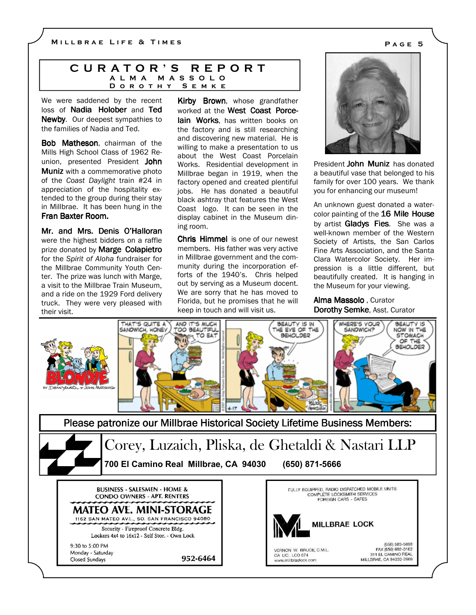#### C U R A T O R ' S R E P O R T A L M A M A S S O L O D O R O T H Y S E M K E

We were saddened by the recent loss of **Nadia Holober** and Ted Newby. Our deepest sympathies to the families of Nadia and Ted.

Bob Matheson, chairman of the Mills High School Class of 1962 Reunion, presented President John Muniz with a commemorative photo of the Coast Daylight train #24 in appreciation of the hospitality extended to the group during their stay in Millbrae. It has been hung in the Fran Baxter Room.

Mr. and Mrs. Denis O'Halloran were the highest bidders on a raffle prize donated by **Marge Colapietro** for the Spirit of Aloha fundraiser for the Millbrae Community Youth Center. The prize was lunch with Marge, a visit to the Millbrae Train Museum, and a ride on the 1929 Ford delivery truck. They were very pleased with their visit.

Kirby Brown, whose grandfather worked at the West Coast Porcelain Works, has written books on the factory and is still researching and discovering new material. He is willing to make a presentation to us about the West Coast Porcelain Works. Residential development in Millbrae began in 1919, when the factory opened and created plentiful jobs. He has donated a beautiful black ashtray that features the West Coast logo. It can be seen in the display cabinet in the Museum dining room.

Chris Himmel is one of our newest members. His father was very active in Millbrae government and the community during the incorporation efforts of the 1940's. Chris helped out by serving as a Museum docent. We are sorry that he has moved to Florida, but he promises that he will keep in touch and will visit us.



President John Muniz has donated a beautiful vase that belonged to his family for over 100 years. We thank you for enhancing our museum!

An unknown guest donated a watercolor painting of the 16 Mile House by artist **Gladys Fies**. She was a well-known member of the Western Society of Artists, the San Carlos Fine Arts Association, and the Santa Clara Watercolor Society. Her impression is a little different, but beautifully created. It is hanging in the Museum for your viewing.

Alma Massolo , Curator Dorothy Semke, Asst. Curator